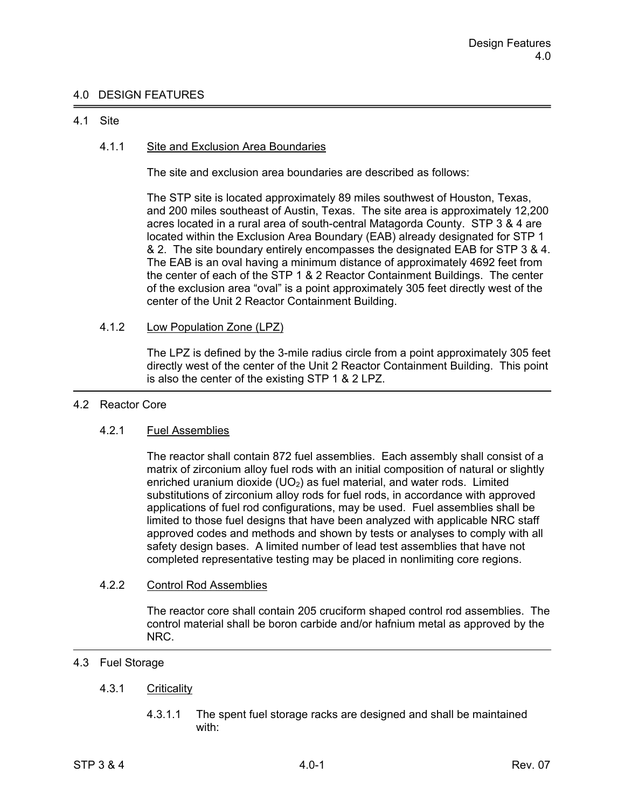# 4.0 DESIGN FEATURES

## 4.1 Site

# 4.1.1 Site and Exclusion Area Boundaries

The site and exclusion area boundaries are described as follows:

The STP site is located approximately 89 miles southwest of Houston, Texas, and 200 miles southeast of Austin, Texas. The site area is approximately 12,200 acres located in a rural area of south-central Matagorda County. STP 3 & 4 are located within the Exclusion Area Boundary (EAB) already designated for STP 1 & 2. The site boundary entirely encompasses the designated EAB for STP 3 & 4. The EAB is an oval having a minimum distance of approximately 4692 feet from the center of each of the STP 1 & 2 Reactor Containment Buildings. The center of the exclusion area "oval" is a point approximately 305 feet directly west of the center of the Unit 2 Reactor Containment Building.

## 4.1.2 Low Population Zone (LPZ)

 The LPZ is defined by the 3-mile radius circle from a point approximately 305 feet directly west of the center of the Unit 2 Reactor Containment Building. This point is also the center of the existing STP 1 & 2 LPZ.

#### 4.2 Reactor Core

## 4.2.1 Fuel Assemblies

 The reactor shall contain 872 fuel assemblies. Each assembly shall consist of a matrix of zirconium alloy fuel rods with an initial composition of natural or slightly enriched uranium dioxide  $(UD<sub>2</sub>)$  as fuel material, and water rods. Limited substitutions of zirconium alloy rods for fuel rods, in accordance with approved applications of fuel rod configurations, may be used. Fuel assemblies shall be limited to those fuel designs that have been analyzed with applicable NRC staff approved codes and methods and shown by tests or analyses to comply with all safety design bases. A limited number of lead test assemblies that have not completed representative testing may be placed in nonlimiting core regions.

#### 4.2.2 Control Rod Assemblies

 The reactor core shall contain 205 cruciform shaped control rod assemblies. The control material shall be boron carbide and/or hafnium metal as approved by the NRC.

# 4.3 Fuel Storage

## 4.3.1 Criticality

 4.3.1.1 The spent fuel storage racks are designed and shall be maintained with: